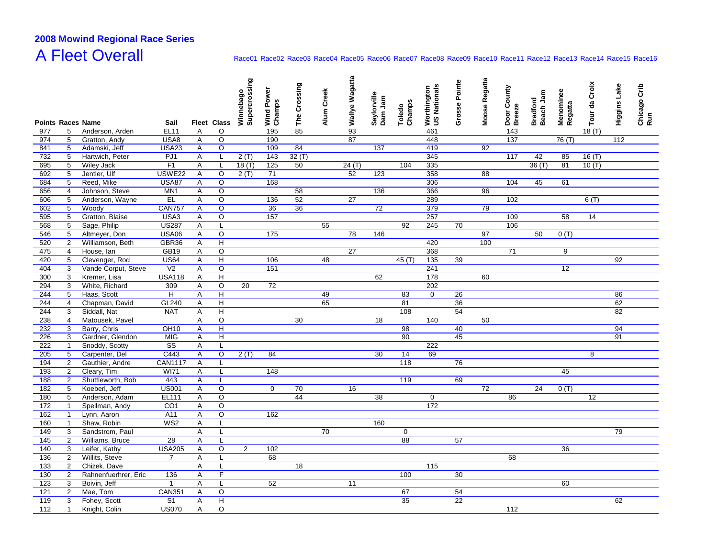# **2008 Mowind Regional Race Series**A Fleet Overall

### Race01 Race02 Race03 Race04 Race05 Race06 Race07 Race08 Race09 Race10 Race11 Race12 Race13 Race14 Race15 Race16

|            |                                  |                                  |                        |        |                    | Winnebago<br>Supercrossing | Wind Power<br>Champs | The Crossing | Alum Creek | Wallye Wagatta  | Saylorville<br>Dam Jam | Champs<br>Toledo | Worthington<br>US Nationals | Grosse Pointe | Moose Regatta | Door County<br>Breeze | Bradford<br>Beach Jam | Menominee<br>Regatta | Tour da Croix | Higgins Lake | Chicago Crib<br>Run |
|------------|----------------------------------|----------------------------------|------------------------|--------|--------------------|----------------------------|----------------------|--------------|------------|-----------------|------------------------|------------------|-----------------------------|---------------|---------------|-----------------------|-----------------------|----------------------|---------------|--------------|---------------------|
|            |                                  | <b>Points Races Name</b>         | Sail                   |        | Fleet Class        |                            |                      |              |            |                 |                        |                  |                             |               |               |                       |                       |                      |               |              |                     |
| 977        | 5                                | Anderson, Arden                  | <b>EL11</b>            | Α      | O                  |                            | 195                  | 85           |            | 93              |                        |                  | 461                         |               |               | 143                   |                       |                      | 18(T)         |              |                     |
| 974        | 5                                | Gratton, Andy                    | USA8                   | Α      | O                  |                            | 190                  |              |            | 87              |                        |                  | 448                         |               |               | 137                   |                       | 76 (T)               |               | 112          |                     |
| 841        | 5                                | Adamski, Jeff                    | <b>USA23</b>           | A      | $\circ$            |                            | 109                  | 84           |            |                 | 137                    |                  | 419                         |               | 92            |                       |                       |                      |               |              |                     |
| 732        | $\overline{5}$                   | Hartwich, Peter                  | PJ <sub>1</sub>        | Α      | Г                  | 2(T)                       | 143                  | 32(T)        |            |                 |                        |                  | 345                         |               |               | 117                   | 42                    | 85                   | 16(T)         |              |                     |
| 695        | 5                                | <b>Wiley Jack</b>                | F <sub>1</sub>         | Α      | Г                  | 18(T)                      | 125                  | 50           |            | 24(T)           |                        | 104              | 335                         |               |               |                       | 36 (T)                | 81                   | 10(T)         |              |                     |
| 692        | 5                                | Jentler, Ulf                     | USWE22                 | Α      | O                  | 2(T)                       | 71                   |              |            | 52              | 123                    |                  | 358                         |               | 88            |                       |                       |                      |               |              |                     |
| 684        | 5                                | Reed, Mike                       | <b>USA87</b>           | Α      | $\circ$            |                            | 168                  |              |            |                 |                        |                  | 306                         |               |               | 104                   | 45                    | 61                   |               |              |                     |
| 656        | $\overline{4}$                   | Johnson, Steve                   | MN <sub>1</sub>        | Α      | $\circ$            |                            |                      | 58           |            |                 | 136                    |                  | 366                         |               | 96            |                       |                       |                      |               |              |                     |
| 606        | 5                                | Anderson, Wayne                  | E                      | Α      | $\circ$            |                            | 136                  | 52           |            | 27              |                        |                  | 289                         |               |               | 102                   |                       |                      | 6(T)          |              |                     |
| 602        | 5                                | Woody                            | <b>CAN757</b>          | A      | O                  |                            | 36                   | 36           |            |                 | $\overline{72}$        |                  | 379                         |               | 79            |                       |                       |                      |               |              |                     |
| 595        | 5                                | Gratton, Blaise                  | USA3                   | A      | O                  |                            | 157                  |              |            |                 |                        |                  | 257                         |               |               | 109                   |                       | 58                   | 14            |              |                     |
| 568        | 5                                | Sage, Philip                     | <b>US287</b>           | A      | L                  |                            |                      |              | 55         |                 |                        | 92               | 245                         | 70            |               | 106                   |                       |                      |               |              |                     |
| 546        | $\overline{5}$                   | Altmeyer, Don                    | <b>USA06</b>           | A      | $\overline{\circ}$ |                            | 175                  |              |            | $\overline{78}$ | 146                    |                  |                             |               | 97            |                       | 50                    | 0(T)                 |               |              |                     |
| 520        | $\overline{2}$                   | Williamson, Beth                 | GBR36                  | A      | $\overline{H}$     |                            |                      |              |            |                 |                        |                  | 420                         |               | 100           |                       |                       |                      |               |              |                     |
| 475        | $\overline{4}$                   | House, lan                       | <b>GB19</b>            | Α      | $\circ$            |                            |                      |              |            | 27              |                        |                  | 368                         |               |               | 71                    |                       | 9                    |               |              |                     |
| 420        | 5                                | Clevenger, Rod                   | <b>US64</b>            | Α      | Н                  |                            | 106                  |              | 48         |                 |                        | 45 (T)           | 135                         | 39            |               |                       |                       |                      |               | 92           |                     |
| 404        | 3                                | Vande Corput, Steve              | V <sub>2</sub>         | Α      | $\circ$            |                            | 151                  |              |            |                 |                        |                  | 241                         |               |               |                       |                       | 12                   |               |              |                     |
| 300        | 3                                | Kremer, Lisa                     | <b>USA118</b>          | A      | Н                  |                            |                      |              |            |                 | 62                     |                  | 178                         |               | 60            |                       |                       |                      |               |              |                     |
| 294        | 3                                | White, Richard                   | 309                    | A      | $\mathsf O$        | 20                         | 72                   |              |            |                 |                        |                  | 202                         |               |               |                       |                       |                      |               |              |                     |
| 244        | 5                                | Haas, Scott                      | $\overline{H}$         | A      | $\overline{H}$     |                            |                      |              | 49         |                 |                        | 83               | $\mathbf 0$                 | 26            |               |                       |                       |                      |               | 86           |                     |
| 244        | $\overline{4}$                   | Chapman, David                   | GL240                  | A      | Н                  |                            |                      |              | 65         |                 |                        | 81               |                             | 36            |               |                       |                       |                      |               | 62           |                     |
| 244        | 3                                | Siddall, Nat                     | <b>NAT</b>             | A      | $\overline{H}$     |                            |                      |              |            |                 |                        | 108              |                             | 54            |               |                       |                       |                      |               | 82           |                     |
| 238<br>232 | 4                                | Matousek, Pavel<br>Barry, Chris  |                        | Α      | $\overline{\circ}$ |                            |                      | 30           |            |                 | 18                     |                  | 140                         |               | 50            |                       |                       |                      |               | 94           |                     |
|            | 3                                |                                  | OH10                   | Α      | Н                  |                            |                      |              |            |                 |                        | 98<br>90         |                             | 40            |               |                       |                       |                      |               | 91           |                     |
| 226<br>222 | 3<br>$\mathbf{1}$                | Gardner, Glendon                 | <b>MIG</b>             | Α      | H                  |                            |                      |              |            |                 |                        |                  | 222                         | 45            |               |                       |                       |                      |               |              |                     |
| 205        | 5                                | Snoddy, Scotty<br>Carpenter, Del | SS<br>C443             | Α<br>Α | Г<br>O             |                            | 84                   |              |            |                 | 30                     | 14               | 69                          |               |               |                       |                       |                      | 8             |              |                     |
|            |                                  | Gauthier, Andre                  |                        |        | L                  | 2(T)                       |                      |              |            |                 |                        | 118              |                             | 76            |               |                       |                       |                      |               |              |                     |
| 194<br>193 | $\overline{2}$<br>$\overline{2}$ | Cleary, Tim                      | <b>CAN1117</b><br>WI71 | A<br>A | L                  |                            | 148                  |              |            |                 |                        |                  |                             |               |               |                       |                       | 45                   |               |              |                     |
| 188        | $\overline{2}$                   | Shuttleworth, Bob                | 443                    | A      | L                  |                            |                      |              |            |                 |                        | 119              |                             | 69            |               |                       |                       |                      |               |              |                     |
| 182        | 5                                | Koeberl, Jeff                    | <b>US001</b>           | Α      | O                  |                            | $\mathbf 0$          | 70           |            | 16              |                        |                  |                             |               | 72            |                       | 24                    | 0(T)                 |               |              |                     |
| 180        | 5                                | Anderson, Adam                   | EL111                  | Α      | $\circ$            |                            |                      | 44           |            |                 | 38                     |                  | $\mathbf 0$                 |               |               | 86                    |                       |                      | 12            |              |                     |
| 172        | $\mathbf{1}$                     | Spellman, Andy                   | CO <sub>1</sub>        | A      | $\overline{\circ}$ |                            |                      |              |            |                 |                        |                  | 172                         |               |               |                       |                       |                      |               |              |                     |
| 162        | $\mathbf 1$                      | Lynn, Aaron                      | A11                    | Α      | O                  |                            | 162                  |              |            |                 |                        |                  |                             |               |               |                       |                       |                      |               |              |                     |
| 160        | $\mathbf{1}$                     | Shaw, Robin                      | WS <sub>2</sub>        | Α      | Г                  |                            |                      |              |            |                 | 160                    |                  |                             |               |               |                       |                       |                      |               |              |                     |
| 149        | 3                                | Sandstrom, Paul                  |                        | A      | Г                  |                            |                      |              | 70         |                 |                        | $\mathbf 0$      |                             |               |               |                       |                       |                      |               | 79           |                     |
| 145        | $\overline{2}$                   | Williams, Bruce                  | 28                     | Α      | L                  |                            |                      |              |            |                 |                        | 88               |                             | 57            |               |                       |                       |                      |               |              |                     |
| 140        | 3                                | Leifer, Kathy                    | <b>USA205</b>          | A      | O                  | $\overline{2}$             | 102                  |              |            |                 |                        |                  |                             |               |               |                       |                       | 36                   |               |              |                     |
| 136        | $\overline{2}$                   | Willits, Steve                   | $\overline{7}$         | A      | L                  |                            | 68                   |              |            |                 |                        |                  |                             |               |               | 68                    |                       |                      |               |              |                     |
| 133        | $\overline{2}$                   | Chizek, Dave                     |                        | A      | L                  |                            |                      | 18           |            |                 |                        |                  | 115                         |               |               |                       |                       |                      |               |              |                     |
| 130        | $\overline{2}$                   | Rahnenfuerhrer, Eric             | 136                    | A      | F                  |                            |                      |              |            |                 |                        | 100              |                             | 30            |               |                       |                       |                      |               |              |                     |
| 123        | 3                                | Boivin, Jeff                     | $\mathbf{1}$           | Α      | L                  |                            | 52                   |              |            | 11              |                        |                  |                             |               |               |                       |                       | 60                   |               |              |                     |
| 121        | 2                                | Mae, Tom                         | <b>CAN351</b>          | A      | $\circ$            |                            |                      |              |            |                 |                        | 67               |                             | 54            |               |                       |                       |                      |               |              |                     |
| 119        | 3                                | Fohey, Scott                     | S <sub>1</sub>         | Α      | H                  |                            |                      |              |            |                 |                        | 35               |                             | 22            |               |                       |                       |                      |               | 62           |                     |
| 112        | $\mathbf{1}$                     | Knight, Colin                    | <b>US070</b>           | Α      | O                  |                            |                      |              |            |                 |                        |                  |                             |               |               | 112                   |                       |                      |               |              |                     |
|            |                                  |                                  |                        |        |                    |                            |                      |              |            |                 |                        |                  |                             |               |               |                       |                       |                      |               |              |                     |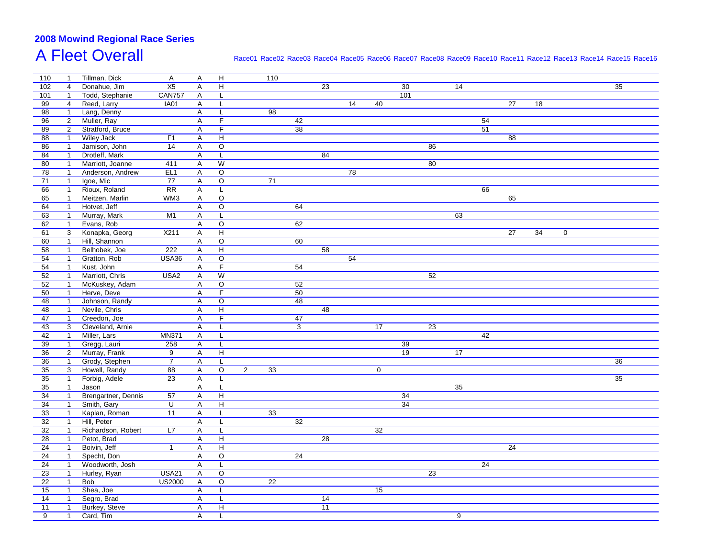# **2008 Mowind Regional Race Series**A Fleet Overall

### Race01 Race02 Race03 Race04 Race05 Race06 Race07 Race08 Race09 Race10 Race11 Race12 Race13 Race14 Race15 Race16

| 110             | $\overline{1}$ | Tillman, Dick       | $\mathsf{A}$     | A | H              |                | 110             |    |                 |                 |                 |                 |                 |    |    |                 |    |             |                 |  |
|-----------------|----------------|---------------------|------------------|---|----------------|----------------|-----------------|----|-----------------|-----------------|-----------------|-----------------|-----------------|----|----|-----------------|----|-------------|-----------------|--|
| 102             | $\overline{4}$ | Donahue, Jim        | X5               | A | H              |                |                 |    | 23              |                 |                 | 30              |                 | 14 |    |                 |    |             | 35              |  |
| 101             | $\mathbf{1}$   | Todd, Stephanie     | <b>CAN757</b>    | A | L              |                |                 |    |                 |                 |                 | 101             |                 |    |    |                 |    |             |                 |  |
| 99              | $\overline{4}$ | Reed, Larry         | <b>IA01</b>      | Α | L              |                |                 |    |                 | 14              | 40              |                 |                 |    |    | $\overline{27}$ | 18 |             |                 |  |
| 98              | $\mathbf{1}$   | Lang, Denny         |                  | A | L              |                | 98              |    |                 |                 |                 |                 |                 |    |    |                 |    |             |                 |  |
| 96              | $\overline{2}$ | Muller, Ray         |                  | A | $\overline{F}$ |                |                 | 42 |                 |                 |                 |                 |                 |    | 54 |                 |    |             |                 |  |
| 89              | $\overline{2}$ | Stratford, Bruce    |                  | A | $\overline{F}$ |                |                 | 38 |                 |                 |                 |                 |                 |    | 51 |                 |    |             |                 |  |
| 88              | $\overline{1}$ | <b>Wiley Jack</b>   | F <sub>1</sub>   | Α | H              |                |                 |    |                 |                 |                 |                 |                 |    |    | 88              |    |             |                 |  |
| 86              | $\mathbf{1}$   | Jamison, John       | 14               | Α | O              |                |                 |    |                 |                 |                 |                 | 86              |    |    |                 |    |             |                 |  |
| 84              | $\overline{1}$ | Drotleff, Mark      |                  | A | L              |                |                 |    | 84              |                 |                 |                 |                 |    |    |                 |    |             |                 |  |
| 80              | $\mathbf{1}$   | Marriott, Joanne    | 411              | Α | $\overline{W}$ |                |                 |    |                 |                 |                 |                 | 80              |    |    |                 |    |             |                 |  |
| 78              | $\overline{1}$ | Anderson, Andrew    | EL <sub>1</sub>  | Α | $\circ$        |                |                 |    |                 | 78              |                 |                 |                 |    |    |                 |    |             |                 |  |
| 71              | $\mathbf{1}$   | Igoe, Mic           | 77               | A | $\circ$        |                | 71              |    |                 |                 |                 |                 |                 |    |    |                 |    |             |                 |  |
| 66              | $\mathbf{1}$   | Rioux, Roland       | $\overline{RR}$  | A | L              |                |                 |    |                 |                 |                 |                 |                 |    | 66 |                 |    |             |                 |  |
| 65              | $\overline{1}$ | Meitzen, Marlin     | WM3              | A | $\circ$        |                |                 |    |                 |                 |                 |                 |                 |    |    | 65              |    |             |                 |  |
| 64              | $\overline{1}$ | Hotvet, Jeff        |                  | A | O              |                |                 | 64 |                 |                 |                 |                 |                 |    |    |                 |    |             |                 |  |
| 63              | $\overline{1}$ | Murray, Mark        | M1               | Α | L              |                |                 |    |                 |                 |                 |                 |                 | 63 |    |                 |    |             |                 |  |
| 62              | $\mathbf{1}$   | Evans, Rob          |                  | A | O              |                |                 | 62 |                 |                 |                 |                 |                 |    |    |                 |    |             |                 |  |
| 61              | 3              | Konapka, Georg      | X211             | A | H              |                |                 |    |                 |                 |                 |                 |                 |    |    | $\overline{27}$ | 34 | $\mathbf 0$ |                 |  |
| 60              | $\mathbf{1}$   | Hill, Shannon       |                  | A | $\circ$        |                |                 | 60 |                 |                 |                 |                 |                 |    |    |                 |    |             |                 |  |
| 58              | $\mathbf{1}$   | Belhobek, Joe       | 222              | A | H              |                |                 |    | 58              |                 |                 |                 |                 |    |    |                 |    |             |                 |  |
| 54              | $\mathbf{1}$   | Gratton, Rob        | <b>USA36</b>     | A | $\circ$        |                |                 |    |                 | $\overline{54}$ |                 |                 |                 |    |    |                 |    |             |                 |  |
| 54              | $\mathbf{1}$   | Kust, John          |                  | A | F              |                |                 | 54 |                 |                 |                 |                 |                 |    |    |                 |    |             |                 |  |
| 52              | $\overline{1}$ | Marriott, Chris     | USA <sub>2</sub> | A | $\overline{W}$ |                |                 |    |                 |                 |                 |                 | $\overline{52}$ |    |    |                 |    |             |                 |  |
| 52              |                | McKuskey, Adam      |                  |   |                |                |                 | 52 |                 |                 |                 |                 |                 |    |    |                 |    |             |                 |  |
|                 | $\overline{1}$ | Herve, Deve         |                  | A | $\mathsf O$    |                |                 | 50 |                 |                 |                 |                 |                 |    |    |                 |    |             |                 |  |
| 50              | $\overline{1}$ |                     |                  | Α | F              |                |                 |    |                 |                 |                 |                 |                 |    |    |                 |    |             |                 |  |
| 48              | $\mathbf{1}$   | Johnson, Randy      |                  | A | O              |                |                 | 48 |                 |                 |                 |                 |                 |    |    |                 |    |             |                 |  |
| 48              | $\mathbf{1}$   | Nevile, Chris       |                  | A | H              |                |                 |    | 48              |                 |                 |                 |                 |    |    |                 |    |             |                 |  |
| 47              | $\overline{1}$ | Creedon, Joe        |                  | Α | F              |                |                 | 47 |                 |                 |                 |                 |                 |    |    |                 |    |             |                 |  |
| 43              | 3              | Cleveland, Arnie    |                  | A | L              |                |                 | 3  |                 |                 | 17              |                 | 23              |    |    |                 |    |             |                 |  |
| 42              | $\overline{1}$ | Miller, Lars        | <b>MN371</b>     | A | L              |                |                 |    |                 |                 |                 |                 |                 |    | 42 |                 |    |             |                 |  |
| $\overline{39}$ | $\overline{1}$ | Gregg, Lauri        | 258              | A | $\mathsf{L}$   |                |                 |    |                 |                 |                 | 39              |                 |    |    |                 |    |             |                 |  |
| 36              | $\overline{2}$ | Murray, Frank       | $\boldsymbol{9}$ | A | H              |                |                 |    |                 |                 |                 | 19              |                 | 17 |    |                 |    |             |                 |  |
| 36              | $\overline{1}$ | Grody, Stephen      | $\overline{7}$   | Α | L              |                |                 |    |                 |                 |                 |                 |                 |    |    |                 |    |             | 36              |  |
| 35              | $\mathbf{3}$   | Howell, Randy       | 88               | A | O              | $\overline{2}$ | 33              |    |                 |                 | $\pmb{0}$       |                 |                 |    |    |                 |    |             |                 |  |
| 35              | $\mathbf{1}$   | Forbig, Adele       | 23               | Α | L              |                |                 |    |                 |                 |                 |                 |                 |    |    |                 |    |             | $\overline{35}$ |  |
| 35              | $\mathbf{1}$   | Jason               |                  | Α | L              |                |                 |    |                 |                 |                 |                 |                 | 35 |    |                 |    |             |                 |  |
| 34              | $\mathbf{1}$   | Brengartner, Dennis | 57               | A | H              |                |                 |    |                 |                 |                 | 34              |                 |    |    |                 |    |             |                 |  |
| $\overline{34}$ | $\overline{1}$ | Smith, Gary         | $\overline{U}$   | A | $\overline{H}$ |                |                 |    |                 |                 |                 | $\overline{34}$ |                 |    |    |                 |    |             |                 |  |
| 33              | $\overline{1}$ | Kaplan, Roman       | 11               | A | L              |                | 33              |    |                 |                 |                 |                 |                 |    |    |                 |    |             |                 |  |
| 32              | $\mathbf{1}$   | Hill, Peter         |                  | Α | L              |                |                 | 32 |                 |                 |                 |                 |                 |    |    |                 |    |             |                 |  |
| 32              | $\mathbf{1}$   | Richardson, Robert  | L7               | A | L              |                |                 |    |                 |                 | $\overline{32}$ |                 |                 |    |    |                 |    |             |                 |  |
| $\overline{28}$ | $\mathbf{1}$   | Petot, Brad         |                  | Α | H              |                |                 |    | 28              |                 |                 |                 |                 |    |    |                 |    |             |                 |  |
| 24              | $\overline{1}$ | Boivin, Jeff        | $\mathbf{1}$     | Α | H              |                |                 |    |                 |                 |                 |                 |                 |    |    | 24              |    |             |                 |  |
| 24              | $\mathbf{1}$   | Specht, Don         |                  | Α | $\circ$        |                |                 | 24 |                 |                 |                 |                 |                 |    |    |                 |    |             |                 |  |
| 24              | $\overline{1}$ | Woodworth, Josh     |                  | A | L              |                |                 |    |                 |                 |                 |                 |                 |    | 24 |                 |    |             |                 |  |
| 23              | $\overline{1}$ | Hurley, Ryan        | <b>USA21</b>     | A | $\circ$        |                |                 |    |                 |                 |                 |                 | 23              |    |    |                 |    |             |                 |  |
| 22              | $\overline{1}$ | Bob                 | <b>US2000</b>    | A | O              |                | $\overline{22}$ |    |                 |                 |                 |                 |                 |    |    |                 |    |             |                 |  |
| 15              | $\overline{1}$ | Shea, Joe           |                  | Α | L              |                |                 |    |                 |                 | 15              |                 |                 |    |    |                 |    |             |                 |  |
| 14              | $\mathbf{1}$   | Segro, Brad         |                  | A | L              |                |                 |    | $\overline{14}$ |                 |                 |                 |                 |    |    |                 |    |             |                 |  |
| 11              | $\mathbf{1}$   | Burkey, Steve       |                  | Α | H              |                |                 |    | 11              |                 |                 |                 |                 |    |    |                 |    |             |                 |  |
| 9               | $\mathbf{1}$   | Card, Tim           |                  | A | L              |                |                 |    |                 |                 |                 |                 |                 | 9  |    |                 |    |             |                 |  |
|                 |                |                     |                  |   |                |                |                 |    |                 |                 |                 |                 |                 |    |    |                 |    |             |                 |  |